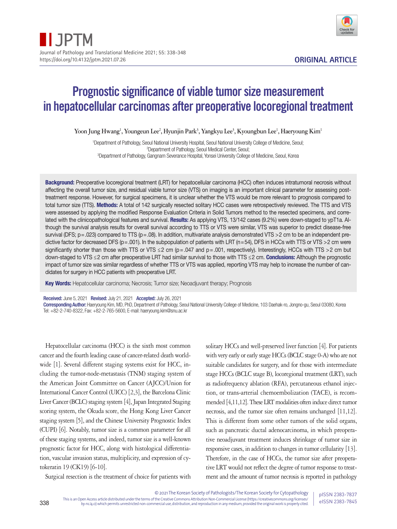

# Prognostic significance of viable tumor size measurement in hepatocellular carcinomas after preoperative locoregional treatment

 $Y$ oon Jung Hwang<sup>1</sup>, Youngeun Lee<sup>2</sup>, Hyunjin Park<sup>3</sup>, Yangkyu Lee<sup>3</sup>, Kyoungbun Lee<sup>1</sup>, Haeryoung Kim<sup>1</sup>

1 Department of Pathology, Seoul National University Hospital, Seoul National University College of Medicine, Seoul; 2 Department of Pathology, Seoul Medical Center, Seoul; 3 Department of Pathology, Gangnam Severance Hospital, Yonsei University College of Medicine, Seoul, Korea

Background: Preoperative locoregional treatment (LRT) for hepatocellular carcinoma (HCC) often induces intratumoral necrosis without affecting the overall tumor size, and residual viable tumor size (VTS) on imaging is an important clinical parameter for assessing posttreatment response. However, for surgical specimens, it is unclear whether the VTS would be more relevant to prognosis compared to total tumor size (TTS). Methods: A total of 142 surgically resected solitary HCC cases were retrospectively reviewed. The TTS and VTS were assessed by applying the modified Response Evaluation Criteria in Solid Tumors method to the resected specimens, and correlated with the clinicopathological features and survival. Results: As applying VTS, 13/142 cases (9.2%) were down-staged to ypT1a. Although the survival analysis results for overall survival according to TTS or VTS were similar, VTS was superior to predict disease-free survival (DFS;  $p = .023$ ) compared to TTS ( $p = .08$ ). In addition, multivariate analysis demonstrated VTS > 2 cm to be an independent predictive factor for decreased DFS ( $p = .001$ ). In the subpopulation of patients with LRT ( $n = 54$ ), DFS in HCCs with TTS or VTS > 2 cm were significantly shorter than those with TTS or VTS ≤2 cm (p = .047 and p = .001, respectively). Interestingly, HCCs with TTS > 2 cm but down-staged to VTS  $\leq$  2 cm after preoperative LRT had similar survival to those with TTS  $\leq$  2 cm. **Conclusions:** Although the prognostic impact of tumor size was similar regardless of whether TTS or VTS was applied, reporting VTS may help to increase the number of candidates for surgery in HCC patients with preoperative LRT.

Key Words: Hepatocellular carcinoma; Necrosis; Tumor size; Neoadjuvant therapy; Prognosis

Received: June 5, 2021 Revised: July 21, 2021 Accepted: July 26, 2021

Corresponding Author: Haeryoung Kim, MD, PhD, Department of Pathology, Seoul National University College of Medicine, 103 Daehak-ro, Jongno-gu, Seoul 03080, Korea Tel: +82-2-740-8322, Fax: +82-2-765-5600, E-mail: haeryoung.kim@snu.ac.kr

Hepatocellular carcinoma (HCC) is the sixth most common cancer and the fourth leading cause of cancer-related death worldwide [1]. Several different staging systems exist for HCC, including the tumor-node-metastasis (TNM) staging system of the American Joint Committee on Cancer (AJCC)/Union for International Cancer Control (UICC) [2,3], the Barcelona Clinic Liver Cancer (BCLC) staging system [4], Japan Integrated Staging scoring system, the Okuda score, the Hong Kong Liver Cancer staging system [5], and the Chinese University Prognostic Index (CUPI) [6]. Notably, tumor size is a common parameter for all of these staging systems, and indeed, tumor size is a well-known prognostic factor for HCC, along with histological differentiation, vascular invasion status, multiplicity, and expression of cytokeratin 19 (CK19) [6-10].

Surgical resection is the treatment of choice for patients with

338

solitary HCCs and well-preserved liver function [4]. For patients with very early or early stage HCCs (BCLC stage 0-A) who are not suitable candidates for surgery, and for those with intermediate stage HCCs (BCLC stage B), locoregional treatment (LRT), such as radiofrequency ablation (RFA), percutaneous ethanol injection, or trans-arterial chemoembolization (TACE), is recommended [4,11,12]. These LRT modalities often induce direct tumor necrosis, and the tumor size often remains unchanged [11,12]. This is different from some other tumors of the solid organs, such as pancreatic ductal adenocarcinoma, in which preoperative neoadjuvant treatment induces shrinkage of tumor size in responsive cases, in addition to changes in tumor cellularity [13]. Therefore, in the case of HCCs, the tumor size after preoperative LRT would not reflect the degree of tumor response to treatment and the amount of tumor necrosis is reported in pathology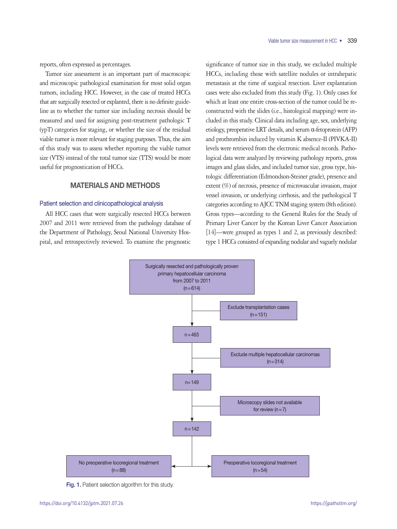reports, often expressed as percentages.

Tumor size assessment is an important part of macroscopic and microscopic pathological examination for most solid organ tumors, including HCC. However, in the case of treated HCCs that are surgically resected or explanted, there is no definite guideline as to whether the tumor size including necrosis should be measured and used for assigning post-treatment pathologic T (ypT) categories for staging, or whether the size of the residual viable tumor is more relevant for staging purposes. Thus, the aim of this study was to assess whether reporting the viable tumor size (VTS) instead of the total tumor size (TTS) would be more useful for prognostication of HCCs.

# MATERIALS AND METHODS

### Patient selection and clinicopathological analysis

All HCC cases that were surgically resected HCCs between 2007 and 2011 were retrieved from the pathology database of the Department of Pathology, Seoul National University Hospital, and retrospectively reviewed. To examine the prognostic significance of tumor size in this study, we excluded multiple HCCs, including those with satellite nodules or intrahepatic metastasis at the time of surgical resection. Liver explantation cases were also excluded from this study (Fig. 1). Only cases for which at least one entire cross-section of the tumor could be reconstructed with the slides (i.e., histological mapping) were included in this study. Clinical data including age, sex, underlying etiology, preoperative LRT details, and serum α-fetoprotein (AFP) and prothrombin induced by vitamin K absence-II (PIVKA-II) levels were retrieved from the electronic medical records. Pathological data were analyzed by reviewing pathology reports, gross images and glass slides, and included tumor size, gross type, histologic differentiation (Edmondson-Steiner grade), presence and extent (%) of necrosis, presence of microvascular invasion, major vessel invasion, or underlying cirrhosis, and the pathological T categories according to AJCC TNM staging system (8th edition). Gross types—according to the General Rules for the Study of Primary Liver Cancer by the Korean Liver Cancer Association [14]—were grouped as types 1 and 2, as previously described: type 1 HCCs consisted of expanding nodular and vaguely nodular



Fig. 1. Patient selection algorithm for this study.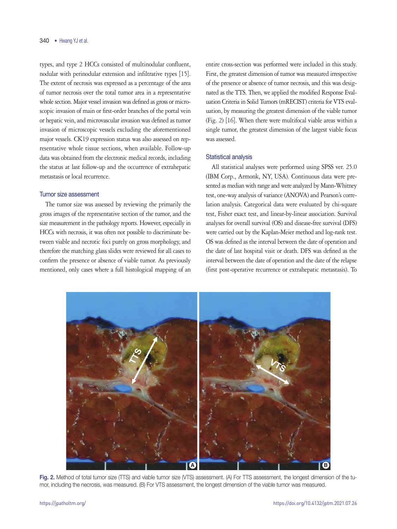types, and type 2 HCCs consisted of multinodular confluent, nodular with perinodular extension and infiltrative types [15]. The extent of necrosis was expressed as a percentage of the area of tumor necrosis over the total tumor area in a representative whole section. Major vessel invasion was defined as gross or microscopic invasion of main or first-order branches of the portal vein or hepatic vein, and microvascular invasion was defined as tumor invasion of microscopic vessels excluding the aforementioned major vessels. CK19 expression status was also assessed on representative whole tissue sections, when available. Follow-up data was obtained from the electronic medical records, including the status at last follow-up and the occurrence of extrahepatic metastasis or local recurrence.

## Tumor size assessment

The tumor size was assessed by reviewing the primarily the gross images of the representative section of the tumor, and the size measurement in the pathology reports. However, especially in HCCs with necrosis, it was often not possible to discriminate between viable and necrotic foci purely on gross morphology, and therefore the matching glass slides were reviewed for all cases to confirm the presence or absence of viable tumor. As previously mentioned, only cases where a full histological mapping of an

entire cross-section was performed were included in this study. First, the greatest dimension of tumor was measured irrespective of the presence or absence of tumor necrosis, and this was designated as the TTS. Then, we applied the modified Response Evaluation Criteria in Solid Tumors (mRECIST) criteria for VTS evaluation, by measuring the greatest dimension of the viable tumor (Fig. 2) [16]. When there were multifocal viable areas within a single tumor, the greatest dimension of the largest viable focus was assessed.

## Statistical analysis

All statistical analyses were performed using SPSS ver. 25.0 (IBM Corp., Armonk, NY, USA). Continuous data were presented as median with range and were analyzed by Mann-Whitney test, one-way analysis of variance (ANOVA) and Pearson's correlation analysis. Categorical data were evaluated by chi-square test, Fisher exact test, and linear-by-linear association. Survival analyses for overall survival (OS) and disease-free survival (DFS) were carried out by the Kaplan-Meier method and log-rank test. OS was defined as the interval between the date of operation and the date of last hospital visit or death. DFS was defined as the interval between the date of operation and the date of the relapse (first post-operative recurrence or extrahepatic metastasis). To



Fig. 2. Method of total tumor size (TTS) and viable tumor size (VTS) assessment. (A) For TTS assessment, the longest dimension of the tumor, including the necrosis, was measured. (B) For VTS assessment, the longest dimension of the viable tumor was measured.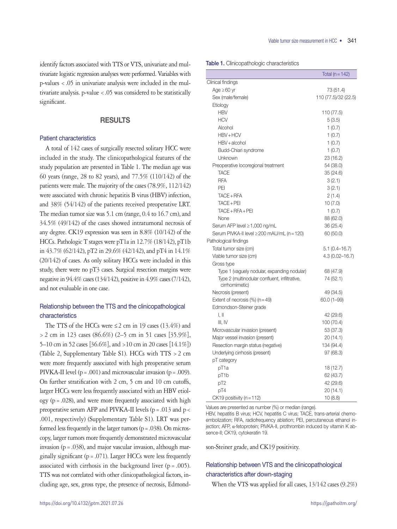identify factors associated with TTS or VTS, univariate and multivariate logistic regression analyses were performed. Variables with p-values <.05 in univariate analysis were included in the multivariate analysis. p-value <.05 was considered to be statistically significant.

# RESULTS

## Patient characteristics

A total of 142 cases of surgically resected solitary HCC were included in the study. The clinicopathological features of the study population are presented in Table 1. The median age was 60 years (range, 28 to 82 years), and 77.5% (110/142) of the patients were male. The majority of the cases (78.9%, 112/142) were associated with chronic hepatitis B virus (HBV) infection, and 38% (54/142) of the patients received preoperative LRT. The median tumor size was 5.1 cm (range, 0.4 to 16.7 cm), and 34.5% (49/142) of the cases showed intratumoral necrosis of any degree. CK19 expression was seen in 8.8% (10/142) of the HCCs. Pathologic T stages were pT1a in 12.7% (18/142), pT1b in 43.7% (62/142), pT2 in 29.6% (42/142), and pT4 in 14.1% (20/142) of cases. As only solitary HCCs were included in this study, there were no pT3 cases. Surgical resection margins were negative in 94.4% cases (134/142), positive in 4.9% cases (7/142), and not evaluable in one case.

# Relationship between the TTS and the clinicopathological characteristics

The TTS of the HCCs were  $\leq$  2 cm in 19 cases (13.4%) and >2 cm in 123 cases (86.6%) (2–5 cm in 51 cases [35.9%], 5–10 cm in 52 cases [36.6%], and >10 cm in 20 cases [14.1%]) (Table 2, Supplementary Table S1). HCCs with TTS >2 cm were more frequently associated with high preoperative serum PIVKA-II level  $(p=.001)$  and microvascular invasion  $(p=.009)$ . On further stratification with 2 cm, 5 cm and 10 cm cutoffs, larger HCCs were less frequently associated with an HBV etiology ( $p = .028$ ), and were more frequently associated with high preoperative serum AFP and PIVKA-II levels ( $p = .013$  and  $p <$ .001, respectively) (Supplementary Table S1). LRT was performed less frequently in the larger tumors ( $p = .038$ ). On microscopy, larger tumors more frequently demonstrated microvascular invasion ( $p = .038$ ), and major vascular invasion, although marginally significant ( $p = .071$ ). Larger HCCs were less frequently associated with cirrhosis in the background liver  $(p=.005)$ . TTS was not correlated with other clinicopathological factors, including age, sex, gross type, the presence of necrosis, EdmondTable 1. Clinicopathologic characteristics

|                                               | Total ( $n = 142$ )  |
|-----------------------------------------------|----------------------|
| Clinical findings                             |                      |
| Age $\geq 60$ yr                              | 73 (51.4)            |
| Sex (male/female)                             | 110 (77.5)/32 (22.5) |
| Etiology                                      |                      |
| <b>HBV</b>                                    | 110 (77.5)           |
| <b>HCV</b>                                    | 5(3.5)               |
| Alcohol                                       | 1(0.7)               |
| HBV+HCV                                       | 1(0.7)               |
| HBV + alcohol                                 | 1(0.7)               |
| Budd-Chiari syndrome                          | 1(0.7)               |
| Unknown                                       | 23 (16.2)            |
| Preoperative locoregional treatment           | 54 (38.0)            |
| <b>TACE</b>                                   | 35 (24.6)            |
| <b>RFA</b>                                    | 3(2.1)               |
| PEI                                           | 3(2.1)               |
| TACE + RFA                                    | 2(1.4)               |
| TACE + PEI                                    | 10(7.0)              |
| $TACE + PFA + PEI$                            | 1(0.7)               |
| None                                          | 88 (62.0)            |
| Serum AFP level ≥ 1,000 ng/mL                 | 36 (25.4)            |
| Serum PIVKA-II level ≥200 mAU/mL (n = 120)    | 60 (50.0)            |
| Pathological findings                         |                      |
| Total tumor size (cm)                         | $5.1(0.4 - 16.7)$    |
| Viable tumor size (cm)                        | $4.3(0.02 - 16.7)$   |
| Gross type                                    |                      |
| Type 1 (vaguely nodular, expanding nodular)   | 68 (47.9)            |
| Type 2 (multinodular confluent, infiltrative, | 74 (52.1)            |
| cirrhomimetic)                                |                      |
| Necrosis (present)                            | 49 (34.5)            |
| Extent of necrosis $(\%)$ (n = 49)            | 60.0 (1-99)          |
| Edmondson-Steiner grade                       |                      |
| I, II                                         | 42 (29.6)            |
| III, IV                                       | 100 (70.4)           |
| Microvascular invasion (present)              | 53 (37.3)            |
| Major vessel invasion (present)               | 20 (14.1)            |
| Resection margin status (negative)            | 134 (94.4)           |
| Underlying cirrhosis (present)                | 97 (68.3)            |
| pT category                                   |                      |
| pT1a                                          | 18 (12.7)            |
| pT1b                                          | 62 (43.7)            |
| pT2                                           | 42 (29.6)            |
| pT4                                           | 20 (14.1)            |
| CK19 positivity (n = 112)                     | 10(8.8)              |

Values are presented as number (%) or median (range).

HBV, hepatitis B virus; HCV, hepatitis C virus; TACE, trans-arterial chemoembolization; RFA, radiofrequency ablation; PEI, percutaneous ethanol injection; AFP, α-fetoprotein; PIVKA-II, prothrombin induced by vitamin K absence-II; CK19, cytokeratin 19.

son-Steiner grade, and CK19 positivity.

# Relationship between VTS and the clinicopathological characteristics after down-staging

When the VTS was applied for all cases, 13/142 cases (9.2%)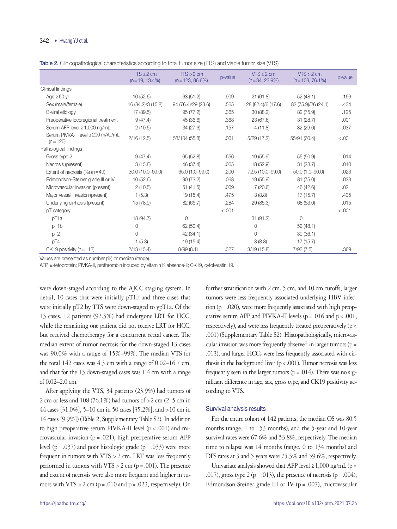Table 2. Clinicopathological characteristics according to total tumor size (TTS) and viable tumor size (VTS)

|                                                  | $TTS \leq 2$ cm<br>$(n=19, 13.4\%)$ | $TS > 2$ cm<br>$(n=123, 86.6\%)$ | p-value | $VTS \leq 2$ cm<br>$(n=34, 23.9\%)$ | $VTS > 2$ cm<br>$(n=108, 76.1\%)$ | p-value |
|--------------------------------------------------|-------------------------------------|----------------------------------|---------|-------------------------------------|-----------------------------------|---------|
| Clinical findings                                |                                     |                                  |         |                                     |                                   |         |
| Age $\geq 60$ yr                                 | 10(52.6)                            | 63(51.2)                         | .909    | 21(61.8)                            | 52(48.1)                          | .166    |
| Sex (male/female)                                | 16 (84.2)/3 (15.8)                  | 94 (76.4)/29 (23.6)              | .565    | 28 (82.4)/6 (17.6)                  | 82 (75.9)/26 (24.1)               | .434    |
| B-viral etiology                                 | 17 (89.5)                           | 95(77.2)                         | .365    | 30 (88.2)                           | 82 (75.9)                         | .125    |
| Preoperative locoregional treatment              | 9(47.4)                             | 45 (36.6)                        | .368    | 23 (67.6)                           | 31(28.7)                          | .001    |
| Serum AFP level $\geq 1,000$ ng/mL               | 2(10.5)                             | 34(27.6)                         | .157    | 4(11.8)                             | 32(29.6)                          | .037    |
| Serum PIVKA-II level ≥ 200 mAU/mL<br>$(n = 120)$ | 2/16(12.5)                          | 58/104 (55.8)                    | .001    | 5/29(17.2)                          | 55/91 (60.4)                      | < .001  |
| Pathological findings                            |                                     |                                  |         |                                     |                                   |         |
| Gross type 2                                     | 9(47.4)                             | 65 (52.8)                        | .656    | 19 (55.9)                           | 55 (50.9)                         | .614    |
| Necrosis (present)                               | 3(15.8)                             | 46 (37.4)                        | .065    | 18 (52.9)                           | 31(28.7)                          | .010    |
| Extent of necrosis $(\%)$ (n = 49)               | 30.0 (10.0-60.0)                    | 65.0 (1.0-99.0)                  | .200    | 72.5 (10.0-99.0)                    | $50.0(1.0 - 90.0)$                | .023    |
| Edmondson-Steiner grade III or IV                | 10(52.6)                            | 90(73.2)                         | .068    | 19 (55.9)                           | 81 (75.0)                         | .033    |
| Microvascular invasion (present)                 | 2(10.5)                             | 51(41.5)                         | .009    | 7(20.6)                             | 46 (42.6)                         | .021    |
| Major vessel invasion (present)                  | 1(5.3)                              | 19(15.4)                         | .475    | 3(8.8)                              | 17(15.7)                          | .405    |
| Underlying cirrhosis (present)                   | 15 (78.9)                           | 82 (66.7)                        | .284    | 29(85.3)                            | 68 (63.0)                         | .015    |
| pT category                                      |                                     |                                  | < .001  |                                     |                                   | < .001  |
| pT <sub>1a</sub>                                 | 18 (94.7)                           | 0                                |         | 31(91.2)                            | $\Omega$                          |         |
| pT1b                                             | 0                                   | 62 (50.4)                        |         | 0                                   | 52(48.1)                          |         |
| pT <sub>2</sub>                                  | $\Omega$                            | 42(34.1)                         |         | $\Omega$                            | 39(36.1)                          |         |
| pT4                                              | 1(5.3)                              | 19 (15.4)                        |         | 3(8.8)                              | 17(15.7)                          |         |
| CK19 positivity ( $n = 112$ )                    | 2/13(15.4)                          | 8/99(8.1)                        | .327    | 3/19(15.8)                          | 7/93(7.5)                         | .369    |

Values are presented as number (%) or median (range).

AFP, α-fetoprotein; PIVKA-II, prothrombin induced by vitamin K absence-II; CK19, cytokeratin 19.

were down-staged according to the AJCC staging system. In detail, 10 cases that were initially pT1b and three cases that were initially pT2 by TTS were down-staged to ypT1a. Of the 13 cases, 12 patients (92.3%) had undergone LRT for HCC, while the remaining one patient did not receive LRT for HCC, but received chemotherapy for a concurrent rectal cancer. The median extent of tumor necrosis for the down-staged 13 cases was 90.0% with a range of 15%–99%. The median VTS for the total  $142$  cases was  $4.3$  cm with a range of  $0.02-16.7$  cm, and that for the 13 down-staged cases was 1.4 cm with a range of 0.02–2.0 cm.

After applying the VTS, 34 patients (23.9%) had tumors of 2 cm or less and 108 (76.1%) had tumors of  $>$  2 cm (2–5 cm in 44 cases [31.0%], 5–10 cm in 50 cases [35.2%], and >10 cm in 14 cases [9.9%]) (Table 2, Supplementary Table S2). In addition to high preoperative serum PIVKA-II level  $(p < .001)$  and microvascular invasion ( $p = .021$ ), high preoperative serum AFP level ( $p = .037$ ) and poor histologic grade ( $p = .033$ ) were more frequent in tumors with  $VTS > 2$  cm. LRT was less frequently performed in tumors with  $VTS > 2$  cm (p = .001). The presence and extent of necrosis were also more frequent and higher in tumors with VTS  $> 2$  cm (p = .010 and p = .023, respectively). On

further stratification with 2 cm, 5 cm, and 10 cm cutoffs, larger tumors were less frequently associated underlying HBV infection (p=.020), were more frequently associated with high preoperative serum AFP and PIVKA-II levels ( $p = .016$  and  $p < .001$ , respectively), and were less frequently treated preoperatively (p< .001) (Supplementary Table S2). Histopathologically, microvascular invasion was more frequently observed in larger tumors (p= .013), and larger HCCs were less frequently associated with cirrhosis in the background liver  $(p < .001)$ . Tumor necrosis was less frequently seen in the larger tumors ( $p = .014$ ). There was no significant difference in age, sex, gross type, and CK19 positivity according to VTS.

#### Survival analysis results

For the entire cohort of 142 patients, the median OS was 80.5 months (range, 1 to 153 months), and the 5-year and 10-year survival rates were 67.6% and 53.8%, respectively. The median time to relapse was 14 months (range, 0 to 134 months) and DFS rates at 3 and 5 years were 75.3% and 59.6%, respectively.

Univariate analysis showed that AFP level  $\geq 1,000$  ng/mL (p = .017), gross type 2 ( $p = .013$ ), the presence of necrosis ( $p = .004$ ), Edmondson-Steiner grade III or IV ( $p = .007$ ), microvascular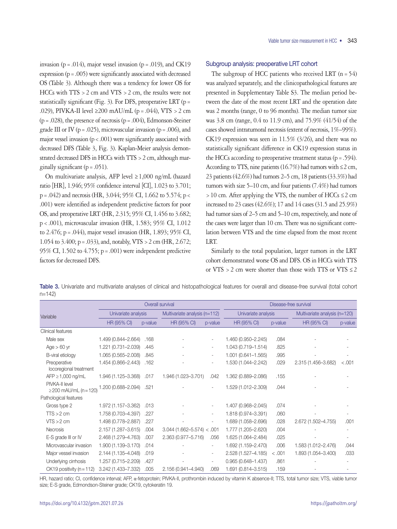invasion ( $p = .014$ ), major vessel invasion ( $p = .019$ ), and CK19 expression  $(p=.005)$  were significantly associated with decreased OS (Table 3). Although there was a tendency for lower OS for HCCs with TTS >2 cm and VTS >2 cm, the results were not statistically significant (Fig. 3). For DFS, preoperative LRT ( $p=$ .029), PIVKA-II level  $\geq 200$  mAU/mL (p = .044), VTS  $> 2$  cm  $(p=.028)$ , the presence of necrosis  $(p=.004)$ , Edmonson-Steiner grade III or IV ( $p = .025$ ), microvascular invasion ( $p = .006$ ), and major vessel invasion  $(p < .001)$  were significantly associated with decreased DFS (Table 3, Fig. 3). Kaplan-Meier analysis demonstrated decreased DFS in HCCs with TTS >2 cm, although marginally significant  $(p=.051)$ .

On multivariate analysis, AFP level ≥1,000 ng/mL (hazard ratio [HR], 1.946; 95% confidence interval [CI], 1.023 to 3.701; p=.042) and necrosis (HR, 3.044; 95% CI, 1.662 to 5.574; p< .001) were identified as independent predictive factors for poor OS, and preoperative LRT (HR, 2.315; 95% CI, 1.456 to 3.682; p<.001), microvascular invasion (HR, 1.583; 95% CI, 1.012 to 2.476; p=.044), major vessel invasion (HR, 1.893; 95% CI, 1.054 to 3.400; p=.033), and, notably, VTS >2 cm (HR, 2.672; 95% CI, 1.502 to 4.755; p=.001) were independent predictive factors for decreased DFS.

## Subgroup analysis: preoperative LRT cohort

The subgroup of HCC patients who received LRT  $(n=54)$ was analyzed separately, and the clinicopathological features are presented in Supplementary Table S3. The median period between the date of the most recent LRT and the operation date was 2 months (range, 0 to 96 months). The median tumor size was 3.8 cm (range, 0.4 to 11.9 cm), and 75.9% (41/54) of the cases showed intratumoral necrosis (extent of necrosis, 1%–99%). CK19 expression was seen in 11.5% (3/26), and there was no statistically significant difference in CK19 expression status in the HCCs according to preoperative treatment status ( $p = .594$ ). According to TTS, nine patients (16.7%) had tumors with  $\leq$  2 cm, 23 patients (42.6%) had tumors 2–5 cm, 18 patients (33.3%) had tumors with size 5–10 cm, and four patients (7.4%) had tumors  $>10$  cm. After applying the VTS, the number of HCCs  $\leq$  2 cm increased to 23 cases (42.6%); 17 and 14 cases (31.5 and 25.9%) had tumor sizes of 2–5 cm and 5–10 cm, respectively, and none of the cases were larger than 10 cm. There was no significant correlation between VTS and the time elapsed from the most recent LRT.

Similarly to the total population, larger tumors in the LRT cohort demonstrated worse OS and DFS. OS in HCCs with TTS or VTS > 2 cm were shorter than those with TTS or VTS  $\leq$  2

Table 3. Univariate and multivariate analyses of clinical and histopathological features for overall and disease-free survival (total cohort n=142)

|                                               |                     | Overall survival | Disease-free survival         |         |                        |         |                               |         |
|-----------------------------------------------|---------------------|------------------|-------------------------------|---------|------------------------|---------|-------------------------------|---------|
| Variable                                      | Univariate analysis |                  | Multivariate analysis (n=112) |         | Univariate analysis    |         | Multivariate analysis (n=120) |         |
|                                               | <b>HR (95% CI)</b>  | p-value          | <b>HR (95% CI)</b>            | p-value | <b>HR (95% CI)</b>     | p-value | <b>HR (95% CI)</b>            | p-value |
| Clinical features                             |                     |                  |                               |         |                        |         |                               |         |
| Male sex                                      | 1.499 (0.844-2.664) | .168             |                               |         | 1.460 (0.950-2.245)    | .084    |                               |         |
| $Age > 60$ yr                                 | 1.221 (0.731-2.039) | .445             |                               |         | 1.043 (0.719-1.514)    | .825    |                               |         |
| B-viral etiology                              | 1.065 (0.565-2.008) | .845             |                               | $\sim$  | 1.001 (0.641-1.565)    | .995    |                               |         |
| Preoperative<br>locoregional treatment        | 1.454 (0.866-2.443) | .162             |                               |         | 1.530 (1.044-2.242)    | .029    | 2.315 (1.456-3.682)           | $-.001$ |
| AFP $\geq$ 1,000 ng/mL                        | 1.946 (1.125-3.368) | .017             | 1.946 (1.023-3.701)           | .042    | 1.362 (0.889-2.086)    | .155    |                               |         |
| PIVKA-II level<br>$\geq$ 200 mAU/mL (n = 120) | .200 (0.688-2.094)  | .521             |                               |         | 1.529 (1.012-2.309)    | .044    |                               |         |
| Pathological features                         |                     |                  |                               |         |                        |         |                               |         |
| Gross type 2                                  | 1.972 (1.157-3.362) | .013             |                               |         | 1.407 (0.968-2.045)    | .074    |                               |         |
| $TTS > 2$ cm                                  | 1.758 (0.703-4.397) | .227             |                               | $\sim$  | 1.818 (0.974-3.391)    | .060    |                               |         |
| $VTS > 2$ cm                                  | 1.498 (0.778-2.887) | .227             |                               |         | 1.689 (1.058-2.696)    | .028    | 2.672 (1.502-4.755)           | .001    |
| <b>Necrosis</b>                               | 2.157 (1.287-3.615) | .004             | $3.044(1.662 - 5.574) <$      | .001    | 1.777 (1.205-2.620)    | .004    |                               |         |
| E-S grade III or IV                           | 2.468 (1.279-4.763) | .007             | 2.363 (0.977-5.716)           | .056    | 1.625 (1.064-2.484)    | .025    |                               |         |
| Microvascular invasion                        | 1.900 (1.139-3.170) | .014             |                               |         | 1.692 (1.159-2.470)    | .006    | 1.583 (1.012-2.476)           | .044    |
| Major vessel invasion                         | 2.144 (1.135-4.048) | .019             |                               | $\sim$  | 2.528 (1.527-4.185)    | < .001  | 1.893 (1.054-3.400)           | .033    |
| Underlying cirrhosis                          | 1.257 (0.715-2.209) | .427             |                               | $\sim$  | $0.965(0.648 - 1.437)$ | .861    |                               |         |
| CK19 positivity ( $n = 112$ )                 | 3.242 (1.433-7.332) | .005             | 2.156 (0.941-4.940)           | .069    | 1.691 (0.814-3.515)    | .159    |                               |         |

HR, hazard ratio; CI, confidence interval; AFP, α-fetoprotein; PIVKA-II, prothrombin induced by vitamin K absence-II; TTS, total tumor size; VTS, viable tumor size; E-S grade, Edmondson-Steiner grade; CK19, cytokeratin 19.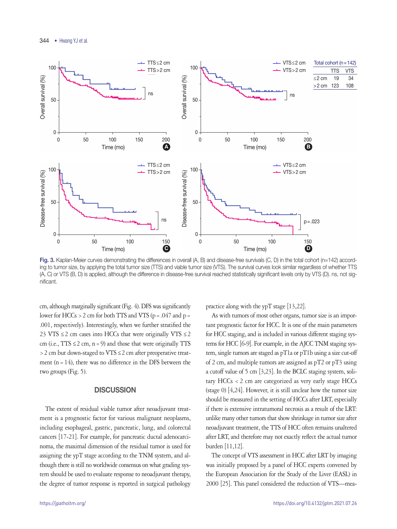

Fig. 3. Kaplan-Meier curves demonstrating the differences in overall  $(A, B)$  and disease-free survivals  $(C, D)$  in the total cohort (n=142) accord-100<br>10<sup>0</sup> **Disease-free survival (%)** ing to tumor size, by applying the total tumor size (TTS) and viable tumor size (VTS). The survival curves look similar regardless of whether TTS  $\sum_{i=1}^n$ **100** ance in disease-free survival reached statistically significant levels only by VTS (D). ns, not **Disease-free survival (%)** (A, C) or VTS (B, D) is applied, although the difference in disease-free survival reached statistically significant levels only by VTS (D). ns, not sig-<br>... nificant.

cm, although marginally significant (Fig. 4). DFS was significantly lower for HCCs > 2 cm for both TTS and VTS ( $p = .047$  and  $p =$ .001, respectively). Interestingly, when we further stratified the 23 VTS  $\leq$  2 cm cases into HCCs that were originally VTS  $\leq$  2  $(m (i.e., TTS \leq 2 cm, n = 9))$  and those that were originally TTS > 2 cm but down-staged to VTS ≤ 2 cm after preoperative treatment ( $n = 14$ ), there was no difference in the DFS between the two groups (Fig. 5). dis<br>dis<br>gr<br>f7 **Disease**<br>dis<br>gr<br>at

# **DISCUSSION**

The extent of residual viable tumor after neoadjuvant treatment is a prognostic factor for various malignant neoplasms, including esophageal, gastric, pancreatic, lung, and colorectal cancers [17-21]. For example, for pancreatic ductal adenocarcinoma, the maximal dimension of the residual tumor is used for assigning the ypT stage according to the TNM system, and although there is still no worldwide consensus on what grading system should be used to evaluate response to neoadjuvant therapy, the degree of tumor response is reported in surgical pathology

practice along with the ypT stage [13,22]. **50 50**

As with tumors of most other organs, tumor size is an important prognostic factor for HCC. It is one of the main parameters for HCC staging, and is included in various different staging sys-**0 0 0 0** TS tems for HCC [6-9]. For example, in the AJCC TNM staging system, single tumors are staged as pT1a or pT1b using a size cut-off of 2 cm, and multiple tumors are assigned as pT2 or pT3 using a cutoff value of 5 cm [3,23]. In the BCLC staging system, solitary HCCs <2 cm are categorized as very early stage HCCs (stage 0) [4,24]. However, it is still unclear how the tumor size should be measured in the setting of HCCs after LRT, especially if there is extensive intratumoral necrosis as a result of the LRT: unlike many other tumors that show shrinkage in tumor size after neoadjuvant treatment, the TTS of HCC often remains unaltered after LRT, and therefore may not exactly reflect the actual tumor burden [11,12]. **0 50 100 150 Disc**<br>S,<br>an **0 50 100 150 E**l<br>S,<br>an

The concept of VTS assessment in HCC after LRT by imaging was initially proposed by a panel of HCC experts convened by the European Association for the Study of the Liver (EASL) in 2000 [25]. This panel considered the reduction of VTS—mea-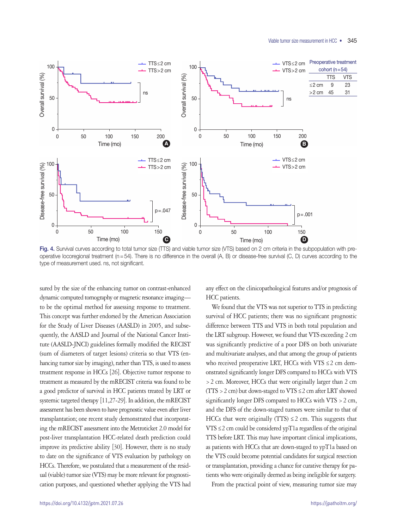

**n** 2 cm criteria i operative locoregional treatment ( $n = 54$ ). There is no difference in the overall (A, B) or disease-free survival (C, D) curves according to the **100 100** type of measurement used. ns, not significant.Fig. 4. Survival curves according to total tumor size (TTS) and viable tumor size (VTS) based on 2 cm criteria in the subpopulation with pre-

sured by the size of the enhancing tumor on contrast-enhanced dynamic computed tomography or magnetic resonance imaging— **50 50 50 50** to be the optimal method for assessing response to treatment. This concept was further endorsed by the American Association for the Study of Liver Diseases (AASLD) in 2005, and subse-**0 0** quently, the AASLD and Journal of the National Cancer Insti-**0 50 100 150** tute (AASLD-JNCI) guidelines formally modified the RECIST (sum of diameters of target lesions) criteria so that VTS (enhancing tumor size by imaging), rather than TTS, is used to assess treatment response in HCCs [26]. Objective tumor response to treatment as measured by the mRECIST criteria was found to be a good predictor of survival in HCC patients treated by LRT or systemic targeted therapy [11,27-29]. In addition, the mRECIST assessment has been shown to have prognostic value even after liver transplantation; one recent study demonstrated that incorporating the mRECIST assessment into the Metroticket 2.0 model for post-liver transplantation HCC-related death prediction could improve its predictive ability [30]. However, there is no study to date on the significance of VTS evaluation by pathology on HCCs. Therefore, we postulated that a measurement of the residual (viable) tumor size (VTS) may be more relevant for prognostication purposes, and questioned whether applying the VTS had **0 0 100 100 100 100 100 100 100 100 100 100 100 100 100 100 100 100 100 100 100 100 100 100 100 100 100 100 100 100 100 100 100 100 100 100 100 100 1 0 E-E**<br>
im<br>
tra<br>
As t-e<br>im<br>As

any effect on the clinicopathological features and/or prognosis of HCC patients. **50 50**

We found that the VTS was not superior to TTS in predicting survival of HCC patients; there was no significant prognostic difference between TTS and VTS in both total population and **0** the LRT subgroup. However, we found that VTS exceeding 2 cm **0 50 100 150** was significantly predictive of a poor DFS on both univariate and multivariate analyses, and that among the group of patients who received preoperative LRT, HCCs with VTS  $\leq$  2 cm demonstrated significantly longer DFS compared to HCCs with VTS >2 cm. Moreover, HCCs that were originally larger than 2 cm (TTS > 2 cm) but down-staged to VTS  $\leq$  2 cm after LRT showed significantly longer DFS compared to HCCs with VTS >2 cm, and the DFS of the down-staged tumors were similar to that of HCCs that were originally (TTS)  $\leq$  2 cm. This suggests that  $VTS \leq 2$  cm could be considered ypT1a regardless of the original TTS before LRT. This may have important clinical implications, as patients with HCCs that are down-staged to ypT1a based on the VTS could become potential candidates for surgical resection or transplantation, providing a chance for curative therapy for patients who were originally deemed as being ineligible for surgery. **0 10 10 100 100 100 100 100 100 100 100 100 100 100 100 100 100 100 100 100 100 100 100 100 100 100 100 100 100 100 100 100 100 100 100 100 100 100 1 0 0 0 50 100 150 Dispate**<br> **Dispate 150 150 150 150 150 150 150 150 150 150 150 150 150 150 150 150 150 150 150 150 150 150 150 150 150 150 150 150 150 150 150 150 150 150 150 150 150 0 50 100 150 Disease**<br>Disease<br>Corp

From the practical point of view, measuring tumor size may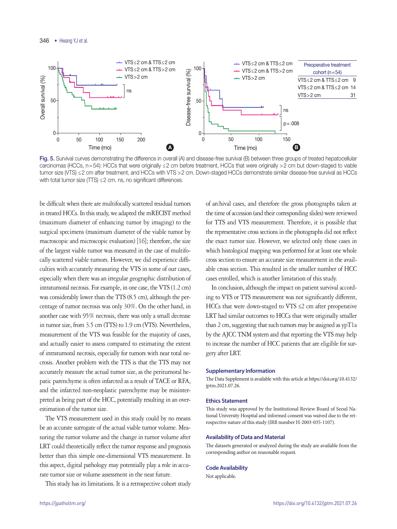

Fig. 5. Survival curves demonstrating the difference in overall (A) and disease-free survival (B) between three groups of treated hepatocellular carcinomas (HCCs, n=54): HCCs that were originally ≤2 cm before treatment, HCCs that were originally >2 cm but down-staged to viable tumor size (VTS) ≤2 cm after treatment, and HCCs with VTS >2 cm. Down-staged HCCs demonstrate similar disease-free survival as HCCs with total tumor size  $(TTS) \leq 2$  cm. ns, no significant differences. VTS > 2 cm in iyo siyi in From Secret a Salament, The Secret and Tensor Serginal, The Secret and Tensor Serginal Secret 2001. Down-staged HCCs demonstrate similar

be difficult when there are multifocally scattered residual tumors **50 50 50 50 50 50** in treated HCCs. In this study, we adapted the mRECIST method (maximum diameter of enhancing tumor by imaging) to the **p=.008** surgical specimens (maximum diameter of the viable tumor by macroscopic and microscopic evaluation) [16]; therefore, the size of the largest viable tumor was measured in the case of multifo-**Time (months) Time (months) Time (months)** cally scattered viable tumors. However, we did experience difficulties with accurately measuring the VTS in some of our cases, especially when there was an irregular geographic distribution of intratumoral necrosis. For example, in one case, the VTS (1.2 cm) was considerably lower than the TTS (8.5 cm), although the percentage of tumor necrosis was only 30%. On the other hand, in another case with 95% necrosis, there was only a small decrease in tumor size, from 3.5 cm (TTS) to 1.9 cm (VTS). Nevertheless, measurement of the VTS was feasible for the majority of cases, and actually easier to assess compared to estimating the extent of intratumoral necrosis, especially for tumors with near total necrosis. Another problem with the TTS is that the TTS may not accurately measure the actual tumor size, as the peritumoral hepatic parenchyme is often infarcted as a result of TACE or RFA, and the infarcted non-neoplastic parenchyme may be misinterpreted as being part of the HCC, potentially resulting in an overestimation of the tumor size. macroscopic and microscopic evaluation macroscopic and microscopic evaluation **macroscopic and microscopic evaluation**) [16] then **Disease-free survival (%) Disease-free survival (%) Disease-free survival (%)**

The VTS measurement used in this study could by no means be an accurate surrogate of the actual viable tumor volume. Measuring the tumor volume and the change in tumor volume after LRT could theoretically reflect the tumor response and prognosis better than this simple one-dimensional VTS measurement. In this aspect, digital pathology may potentially play a role in accurate tumor size or volume assessment in the near future.

This study has its limitations. It is a retrospective cohort study

of archival cases, and therefore the gross photographs taken at the time of accession (and their corresponding slides) were reviewed for TTS and VTS measurement. Therefore, it is possible that the representative cross sections in the photographs did not reflect fore, the size the exact tumor size. However, we selected only those cases in which histological mapping was performed for at least one whole **0 50 100 150** cross section to ensure an accurate size measurement in the available cross section. This resulted in the smaller number of HCC cases enrolled, which is another limitation of this study. **Time (months)** 

> In conclusion, although the impact on patient survival according to VTS or TTS measurement was not significantly different, HCCs that were down-staged to VTS ≤2 cm after preoperative LRT had similar outcomes to HCCs that were originally smaller than 2 cm, suggesting that such tumors may be assigned as ypT1a by the AJCC TNM system and that reporting the VTS may help to increase the number of HCC patients that are eligible for surgery after LRT.

## **Supplementary Information**

The Data Supplement is available with this article at https://doi.org/10.4132/ jptm.2021.07.26.

#### **Ethics Statement**

This study was approved by the Institutional Review Board of Seoul National University Hospital and informed consent was waived due to the retrospective nature of this study (IRB number H-2003-035-1107).

#### **Availability of Data and Material**

The datasets generated or analyzed during the study are available from the corresponding author on reasonable request.

#### **Code Availability**

Not applicable.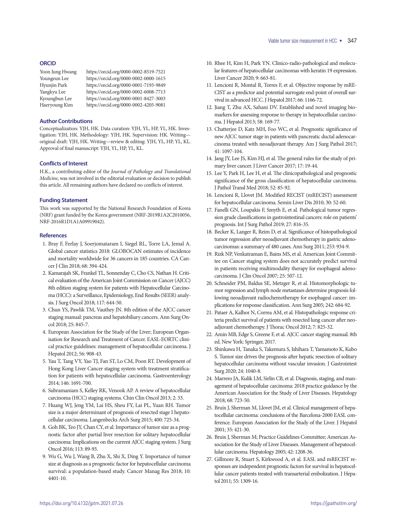#### **ORCID**

| Yoon Jung Hwang | https://orcid.org/0000-0002-8519-7521 |
|-----------------|---------------------------------------|
| Youngeun Lee    | https://orcid.org/0000-0002-0000-1615 |
| Hyunjin Park    | https://orcid.org/0000-0001-7193-9849 |
| Yangkyu Lee     | https://orcid.org/0000-0002-6008-7713 |
| Kyoungbun Lee   | https://orcid.org/0000-0001-8427-3003 |
| Haeryoung Kim   | https://orcid.org/0000-0002-4205-9081 |

#### **Author Contributions**

Conceptualization: YJH, HK. Data curation: YJH, YL, HP, YL, HK. Investigation: YJH, HK. Methodology: YJH, HK. Supervision: HK. Writing original draft: YJH, HK. Writing—review & editing: YJH, YL, HP, YL, KL. Approval of final manuscript: YJH, YL, HP, YL, KL.

#### **Conflicts of Interest**

H.K., a contributing editor of the *Journal of Pathology and Translational Medicine*, was not involved in the editorial evaluation or decision to publish this article. All remaining authors have declared no conflicts of interest.

#### **Funding Statement**

This work was supported by the National Research Foundation of Korea (NRF) grant funded by the Korea government (NRF-2019R1A2C2010056, NRF-2016R1D1A1A09919042).

#### **References**

- 1. Bray F, Ferlay J, Soerjomataram I, Siegel RL, Torre LA, Jemal A. Global cancer statistics 2018: GLOBOCAN estimates of incidence and mortality worldwide for 36 cancers in 185 countries. CA Cancer J Clin 2018; 68: 394-424.
- 2. Kamarajah SK, Frankel TL, Sonnenday C, Cho CS, Nathan H. Critical evaluation of the American Joint Commission on Cancer (AJCC) 8th edition staging system for patients with Hepatocellular Carcinoma (HCC): a Surveillance, Epidemiology, End Results (SEER) analysis. J Surg Oncol 2018; 117: 644-50.
- 3. Chun YS, Pawlik TM, Vauthey JN. 8th edition of the AJCC cancer staging manual: pancreas and hepatobiliary cancers. Ann Surg Oncol 2018; 25: 845-7.
- 4. European Association for the Study of the Liver; European Organisation for Research and Treatment of Cancer. EASL-EORTC clinical practice guidelines: management of hepatocellular carcinoma. J Hepatol 2012; 56: 908-43.
- 5. Yau T, Tang VY, Yao TJ, Fan ST, Lo CM, Poon RT. Development of Hong Kong Liver Cancer staging system with treatment stratification for patients with hepatocellular carcinoma. Gastroenterology 2014; 146: 1691-700.
- 6. Subramaniam S, Kelley RK, Venook AP. A review of hepatocellular carcinoma (HCC) staging systems. Chin Clin Oncol 2013; 2: 33.
- 7. Huang WJ, Jeng YM, Lai HS, Sheu FY, Lai PL, Yuan RH. Tumor size is a major determinant of prognosis of resected stage I hepatocellular carcinoma. Langenbecks Arch Surg 2015; 400: 725-34.
- 8. Goh BK, Teo JY, Chan CY, et al. Importance of tumor size as a prognostic factor after partial liver resection for solitary hepatocellular carcinoma: Implications on the current AJCC staging system. J Surg Oncol 2016; 113: 89-93.
- 9. Wu G, Wu J, Wang B, Zhu X, Shi X, Ding Y. Importance of tumor size at diagnosis as a prognostic factor for hepatocellular carcinoma survival: a population-based study. Cancer Manag Res 2018; 10: 4401-10.
- 10. Rhee H, Kim H, Park YN. Clinico-radio-pathological and molecular features of hepatocellular carcinomas with keratin 19 expression. Liver Cancer 2020; 9: 663-81.
- 11. Lencioni R, Montal R, Torres F, et al. Objective response by mRE-CIST as a predictor and potential surrogate end-point of overall survival in advanced HCC. J Hepatol 2017; 66: 1166-72.
- 12. Jiang T, Zhu AX, Sahani DV. Established and novel imaging biomarkers for assessing response to therapy in hepatocellular carcinoma. J Hepatol 2013; 58: 169-77.
- 13. Chatterjee D, Katz MH, Foo WC, et al. Prognostic significance of new AJCC tumor stage in patients with pancreatic ductal adenocarcinoma treated with neoadjuvant therapy. Am J Surg Pathol 2017; 41: 1097-104.
- 14. Jang JY, Lee JS, Kim HJ, et al. The general rules for the study of primary liver cancer. J Liver Cancer 2017; 17: 19-44.
- 15. Lee Y, Park H, Lee H, et al. The clinicopathological and prognostic significance of the gross classification of hepatocellular carcinoma. J Pathol Transl Med 2018; 52: 85-92.
- 16. Lencioni R, Llovet JM. Modified RECIST (mRECIST) assessment for hepatocellular carcinoma. Semin Liver Dis 2010; 30: 52-60.
- 17. Fanelli GN, Loupakis F, Smyth E, et al. Pathological tumor regression grade classifications in gastrointestinal cancers: role on patients' prognosis. Int J Surg Pathol 2019; 27: 816-35.
- 18. Becker K, Langer R, Reim D, et al. Significance of histopathological tumor regression after neoadjuvant chemotherapy in gastric adenocarcinomas: a summary of 480 cases. Ann Surg 2011; 253: 934-9.
- 19. Rizk NP, Venkatraman E, Bains MS, et al. American Joint Committee on Cancer staging system does not accurately predict survival in patients receiving multimodality therapy for esophageal adenocarcinoma. J Clin Oncol 2007; 25: 507-12.
- 20. Schneider PM, Baldus SE, Metzger R, et al. Histomorphologic tumor regression and lymph node metastases determine prognosis following neoadjuvant radiochemotherapy for esophageal cancer: implications for response classification. Ann Surg 2005; 242: 684-92.
- 21. Pataer A, Kalhor N, Correa AM, et al. Histopathologic response criteria predict survival of patients with resected lung cancer after neoadjuvant chemotherapy. J Thorac Oncol 2012; 7: 825-32.
- 22. Amin MB, Edge S, Greene F, et al. AJCC cancer staging manual. 8th ed. New York: Springer, 2017.
- 23. Shinkawa H, Tanaka S, Takemura S, Ishihara T, Yamamoto K, Kubo S. Tumor size drives the prognosis after hepatic resection of solitary hepatocellular carcinoma without vascular invasion. J Gastrointest Surg 2020; 24: 1040-8.
- 24. Marrero JA, Kulik LM, Sirlin CB, et al. Diagnosis, staging, and management of hepatocellular carcinoma: 2018 practice guidance by the American Association for the Study of Liver Diseases. Hepatology 2018; 68: 723-50.
- 25. Bruix J, Sherman M, Llovet JM, et al. Clinical management of hepatocellular carcinoma: conclusions of the Barcelona-2000 EASL conference. European Association for the Study of the Liver. J Hepatol 2001; 35: 421-30.
- 26. Bruix J, Sherman M; Practice Guidelines Committee; American Association for the Study of Liver Diseases. Management of hepatocellular carcinoma. Hepatology 2005; 42: 1208-36.
- 27. Gillmore R, Stuart S, Kirkwood A, et al. EASL and mRECIST responses are independent prognostic factors for survival in hepatocellular cancer patients treated with transarterial embolization. J Hepatol 2011; 55: 1309-16.